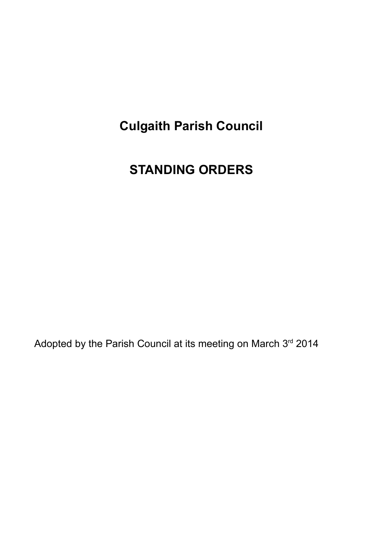### **Culgaith Parish Council**

### **STANDING ORDERS**

Adopted by the Parish Council at its meeting on March 3rd 2014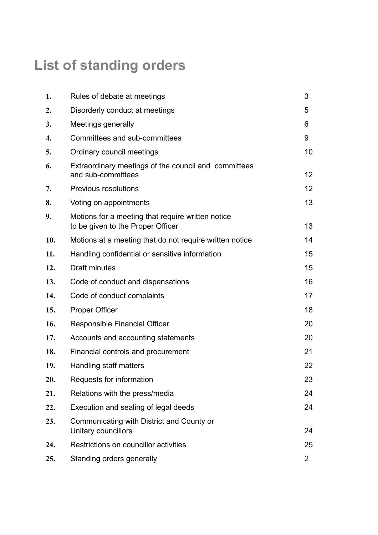# **List of standing orders**

| 1.  | Rules of debate at meetings                                                            | 3              |
|-----|----------------------------------------------------------------------------------------|----------------|
| 2.  | Disorderly conduct at meetings                                                         | 5              |
| 3.  | Meetings generally                                                                     | 6              |
| 4.  | Committees and sub-committees                                                          | 9              |
| 5.  | Ordinary council meetings                                                              | 10             |
| 6.  | Extraordinary meetings of the council and committees<br>and sub-committees             | 12             |
| 7.  | <b>Previous resolutions</b>                                                            | 12             |
| 8.  | Voting on appointments                                                                 | 13             |
| 9.  | Motions for a meeting that require written notice<br>to be given to the Proper Officer | 13             |
| 10. | Motions at a meeting that do not require written notice                                | 14             |
| 11. | Handling confidential or sensitive information                                         | 15             |
| 12. | Draft minutes                                                                          | 15             |
| 13. | Code of conduct and dispensations                                                      | 16             |
| 14. | Code of conduct complaints                                                             | 17             |
| 15. | <b>Proper Officer</b>                                                                  | 18             |
| 16. | Responsible Financial Officer                                                          | 20             |
| 17. | Accounts and accounting statements                                                     | 20             |
| 18. | Financial controls and procurement                                                     | 21             |
| 19. | Handling staff matters                                                                 | 22             |
| 20. | Requests for information                                                               | 23             |
| 21. | Relations with the press/media                                                         | 24             |
| 22. | Execution and sealing of legal deeds                                                   | 24             |
| 23. | Communicating with District and County or<br>Unitary councillors                       | 24             |
| 24. | Restrictions on councillor activities                                                  | 25             |
| 25. | Standing orders generally                                                              | $\overline{2}$ |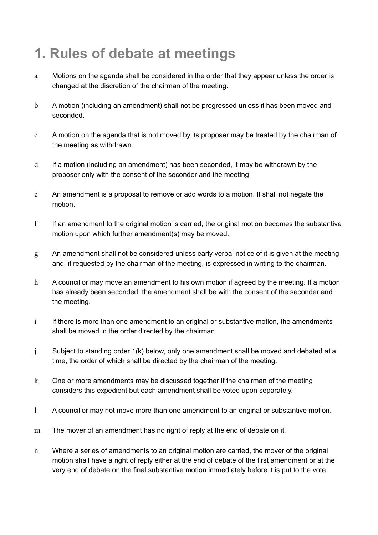# **1. Rules of debate at meetings**

- a Motions on the agenda shall be considered in the order that they appear unless the order is changed at the discretion of the chairman of the meeting.
- b A motion (including an amendment) shall not be progressed unless it has been moved and seconded.
- c A motion on the agenda that is not moved by its proposer may be treated by the chairman of the meeting as withdrawn.
- d If a motion (including an amendment) has been seconded, it may be withdrawn by the proposer only with the consent of the seconder and the meeting.
- e An amendment is a proposal to remove or add words to a motion. It shall not negate the motion.
- f If an amendment to the original motion is carried, the original motion becomes the substantive motion upon which further amendment(s) may be moved.
- g An amendment shall not be considered unless early verbal notice of it is given at the meeting and, if requested by the chairman of the meeting, is expressed in writing to the chairman.
- h A councillor may move an amendment to his own motion if agreed by the meeting. If a motion has already been seconded, the amendment shall be with the consent of the seconder and the meeting.
- $i$  If there is more than one amendment to an original or substantive motion, the amendments shall be moved in the order directed by the chairman.
- j Subject to standing order 1(k) below, only one amendment shall be moved and debated at a time, the order of which shall be directed by the chairman of the meeting.
- k One or more amendments may be discussed together if the chairman of the meeting considers this expedient but each amendment shall be voted upon separately.
- l A councillor may not move more than one amendment to an original or substantive motion.
- m The mover of an amendment has no right of reply at the end of debate on it.
- n Where a series of amendments to an original motion are carried, the mover of the original motion shall have a right of reply either at the end of debate of the first amendment or at the very end of debate on the final substantive motion immediately before it is put to the vote.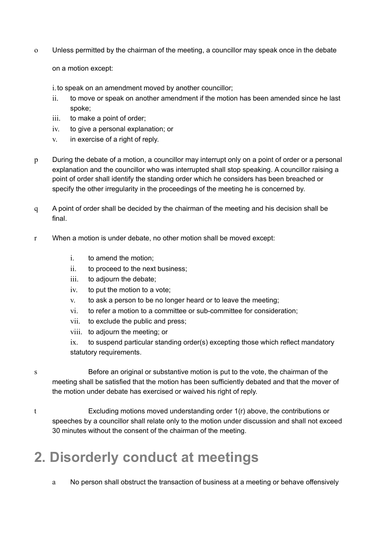o Unless permitted by the chairman of the meeting, a councillor may speak once in the debate

on a motion except:

i.to speak on an amendment moved by another councillor;

- ii. to move or speak on another amendment if the motion has been amended since he last spoke;
- iii. to make a point of order;
- iv. to give a personal explanation; or
- v. in exercise of a right of reply.
- p During the debate of a motion, a councillor may interrupt only on a point of order or a personal explanation and the councillor who was interrupted shall stop speaking. A councillor raising a point of order shall identify the standing order which he considers has been breached or specify the other irregularity in the proceedings of the meeting he is concerned by.
- q A point of order shall be decided by the chairman of the meeting and his decision shall be final.
- r When a motion is under debate, no other motion shall be moved except:
	- i. to amend the motion;
	- ii. to proceed to the next business;
	- iii. to adjourn the debate;
	- iv. to put the motion to a vote;
	- v. to ask a person to be no longer heard or to leave the meeting;
	- vi. to refer a motion to a committee or sub-committee for consideration;
	- vii. to exclude the public and press;
	- viii. to adjourn the meeting; or
	- ix. to suspend particular standing order(s) excepting those which reflect mandatory statutory requirements.
- s Before an original or substantive motion is put to the vote, the chairman of the meeting shall be satisfied that the motion has been sufficiently debated and that the mover of the motion under debate has exercised or waived his right of reply.
- t Excluding motions moved understanding order 1(r) above, the contributions or speeches by a councillor shall relate only to the motion under discussion and shall not exceed 30 minutes without the consent of the chairman of the meeting.

# **2. Disorderly conduct at meetings**

a No person shall obstruct the transaction of business at a meeting or behave offensively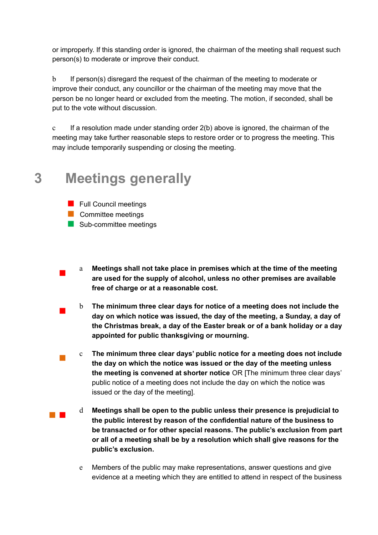or improperly. If this standing order is ignored, the chairman of the meeting shall request such person(s) to moderate or improve their conduct.

b If person(s) disregard the request of the chairman of the meeting to moderate or improve their conduct, any councillor or the chairman of the meeting may move that the person be no longer heard or excluded from the meeting. The motion, if seconded, shall be put to the vote without discussion.

c If a resolution made under standing order 2(b) above is ignored, the chairman of the meeting may take further reasonable steps to restore order or to progress the meeting. This may include temporarily suspending or closing the meeting.

### **3 Meetings generally**

- **E** Full Council meetings
- **E** Committee meetings

!

- **I.** Sub-committee meetings
- a **Meetings shall not take place in premises which at the time of the meeting are used for the supply of alcohol, unless no other premises are available free of charge or at a reasonable cost.**
- ! b **The minimum three clear days for notice of a meeting does not include the day on which notice was issued, the day of the meeting, a Sunday, a day of the Christmas break, a day of the Easter break or of a bank holiday or a day appointed for public thanksgiving or mourning.**
- ! c **The minimum three clear days' public notice for a meeting does not include the day on which the notice was issued or the day of the meeting unless the meeting is convened at shorter notice** OR [The minimum three clear days' public notice of a meeting does not include the day on which the notice was issued or the day of the meeting].
- **11** d **Meetings shall be open to the public unless their presence is prejudicial to the public interest by reason of the confidential nature of the business to be transacted or for other special reasons. The public's exclusion from part or all of a meeting shall be by a resolution which shall give reasons for the public's exclusion.**
	- e Members of the public may make representations, answer questions and give evidence at a meeting which they are entitled to attend in respect of the business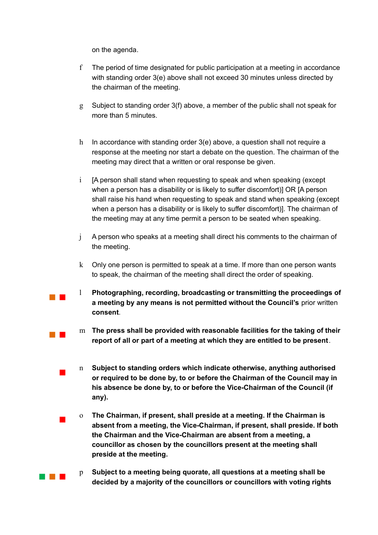on the agenda.

**11** 

**.** 

!

- f The period of time designated for public participation at a meeting in accordance with standing order 3(e) above shall not exceed 30 minutes unless directed by the chairman of the meeting.
- g Subject to standing order 3(f) above, a member of the public shall not speak for more than 5 minutes.
- h In accordance with standing order 3(e) above, a question shall not require a response at the meeting nor start a debate on the question. The chairman of the meeting may direct that a written or oral response be given.
- i [A person shall stand when requesting to speak and when speaking (except when a person has a disability or is likely to suffer discomfort)] OR [A person shall raise his hand when requesting to speak and stand when speaking (except when a person has a disability or is likely to suffer discomfort)]. The chairman of the meeting may at any time permit a person to be seated when speaking.
- j A person who speaks at a meeting shall direct his comments to the chairman of the meeting.
- k Only one person is permitted to speak at a time. If more than one person wants to speak, the chairman of the meeting shall direct the order of speaking.
- !!! l **Photographing, recording, broadcasting or transmitting the proceedings of a meeting by any means is not permitted without the Council's** prior written **consent**.
	- m **The press shall be provided with reasonable facilities for the taking of their report of all or part of a meeting at which they are entitled to be present**.
	- n **Subject to standing orders which indicate otherwise, anything authorised or required to be done by, to or before the Chairman of the Council may in his absence be done by, to or before the Vice-Chairman of the Council (if any).**
	- o **The Chairman, if present, shall preside at a meeting. If the Chairman is absent from a meeting, the Vice-Chairman, if present, shall preside. If both the Chairman and the Vice-Chairman are absent from a meeting, a councillor as chosen by the councillors present at the meeting shall preside at the meeting.**
- !!! p **Subject to a meeting being quorate, all questions at a meeting shall be decided by a majority of the councillors or councillors with voting rights**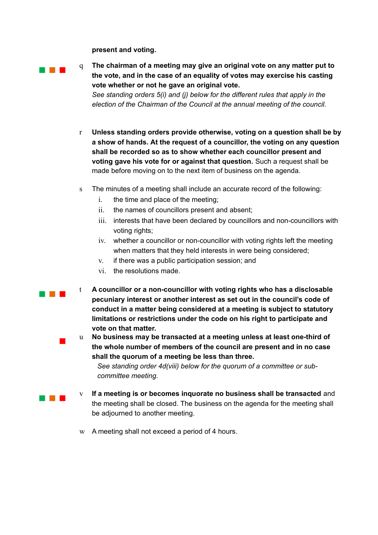**present and voting.**

!!!

!!!

**1999** 

**.** 

q **The chairman of a meeting may give an original vote on any matter put to the vote, and in the case of an equality of votes may exercise his casting vote whether or not he gave an original vote.** *See standing orders 5(i) and (j) below for the different rules that apply in the election of the Chairman of the Council at the annual meeting of the council.*

- r **Unless standing orders provide otherwise, voting on a question shall be by a show of hands. At the request of a councillor, the voting on any question shall be recorded so as to show whether each councillor present and voting gave his vote for or against that question.** Such a request shall be made before moving on to the next item of business on the agenda.
- s The minutes of a meeting shall include an accurate record of the following:
	- i. the time and place of the meeting;
	- ii. the names of councillors present and absent;
	- iii. interests that have been declared by councillors and non-councillors with voting rights;
	- iv. whether a councillor or non-councillor with voting rights left the meeting when matters that they held interests in were being considered;
	- v. if there was a public participation session; and
	- vi. the resolutions made.
- t **A councillor or a non-councillor with voting rights who has a disclosable pecuniary interest or another interest as set out in the council's code of conduct in a matter being considered at a meeting is subject to statutory limitations or restrictions under the code on his right to participate and vote on that matter.**

u **No business may be transacted at a meeting unless at least one-third of the whole number of members of the council are present and in no case shall the quorum of a meeting be less than three.**

*See standing order 4d(viii) below for the quorum of a committee or subcommittee meeting.* 

- v **If a meeting is or becomes inquorate no business shall be transacted** and the meeting shall be closed. The business on the agenda for the meeting shall be adjourned to another meeting.
- w A meeting shall not exceed a period of 4 hours.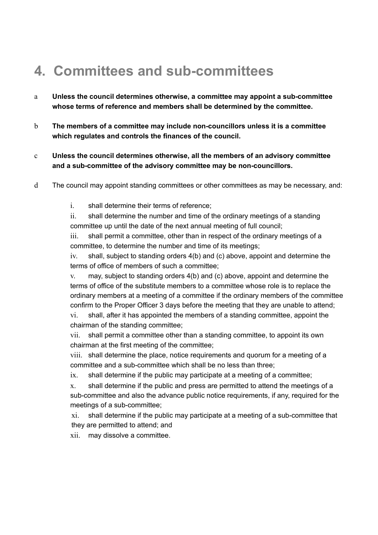# **4. Committees and sub-committees**

- a **Unless the council determines otherwise, a committee may appoint a sub-committee whose terms of reference and members shall be determined by the committee.**
- b **The members of a committee may include non-councillors unless it is a committee which regulates and controls the finances of the council.**
- c **Unless the council determines otherwise, all the members of an advisory committee and a sub-committee of the advisory committee may be non-councillors.**
- d The council may appoint standing committees or other committees as may be necessary, and:
	- i. shall determine their terms of reference;

ii. shall determine the number and time of the ordinary meetings of a standing committee up until the date of the next annual meeting of full council;

iii. shall permit a committee, other than in respect of the ordinary meetings of a committee, to determine the number and time of its meetings;

iv. shall, subject to standing orders 4(b) and (c) above, appoint and determine the terms of office of members of such a committee;

v. may, subject to standing orders 4(b) and (c) above, appoint and determine the terms of office of the substitute members to a committee whose role is to replace the ordinary members at a meeting of a committee if the ordinary members of the committee confirm to the Proper Officer 3 days before the meeting that they are unable to attend;

vi. shall, after it has appointed the members of a standing committee, appoint the chairman of the standing committee;

vii. shall permit a committee other than a standing committee, to appoint its own chairman at the first meeting of the committee;

viii. shall determine the place, notice requirements and quorum for a meeting of a committee and a sub-committee which shall be no less than three;

ix. shall determine if the public may participate at a meeting of a committee;

x. shall determine if the public and press are permitted to attend the meetings of a sub-committee and also the advance public notice requirements, if any, required for the meetings of a sub-committee;

xi. shall determine if the public may participate at a meeting of a sub-committee that they are permitted to attend; and

xii. may dissolve a committee.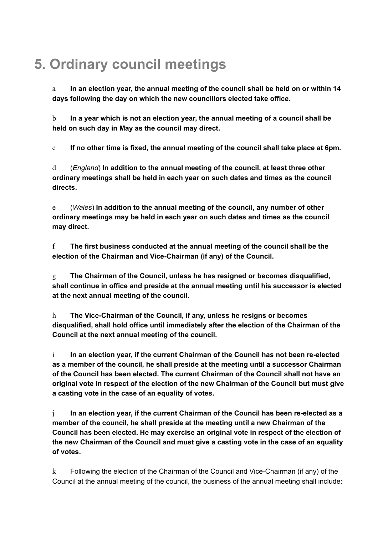# **5. Ordinary council meetings**

a **In an election year, the annual meeting of the council shall be held on or within 14 days following the day on which the new councillors elected take office.**

b **In a year which is not an election year, the annual meeting of a council shall be held on such day in May as the council may direct.**

c **If no other time is fixed, the annual meeting of the council shall take place at 6pm.**

d (*England*) **In addition to the annual meeting of the council, at least three other ordinary meetings shall be held in each year on such dates and times as the council directs.**

e (*Wales*) **In addition to the annual meeting of the council, any number of other ordinary meetings may be held in each year on such dates and times as the council may direct.** 

f **The first business conducted at the annual meeting of the council shall be the election of the Chairman and Vice-Chairman (if any) of the Council.**

g **The Chairman of the Council, unless he has resigned or becomes disqualified, shall continue in office and preside at the annual meeting until his successor is elected at the next annual meeting of the council.** 

h **The Vice-Chairman of the Council, if any, unless he resigns or becomes disqualified, shall hold office until immediately after the election of the Chairman of the Council at the next annual meeting of the council.**

i **In an election year, if the current Chairman of the Council has not been re-elected as a member of the council, he shall preside at the meeting until a successor Chairman of the Council has been elected. The current Chairman of the Council shall not have an original vote in respect of the election of the new Chairman of the Council but must give a casting vote in the case of an equality of votes.**

j **In an election year, if the current Chairman of the Council has been re-elected as a member of the council, he shall preside at the meeting until a new Chairman of the Council has been elected. He may exercise an original vote in respect of the election of the new Chairman of the Council and must give a casting vote in the case of an equality of votes.**

k Following the election of the Chairman of the Council and Vice-Chairman (if any) of the Council at the annual meeting of the council, the business of the annual meeting shall include: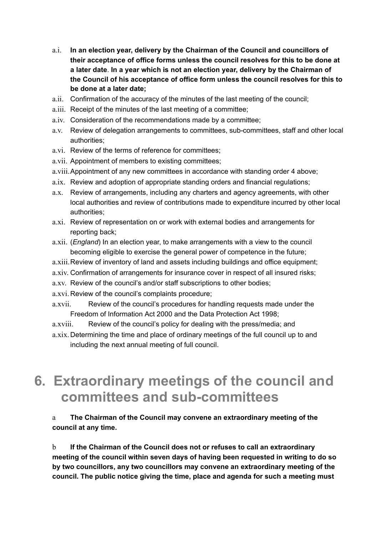- a.i. **In an election year, delivery by the Chairman of the Council and councillors of their acceptance of office forms unless the council resolves for this to be done at a later date**. **In a year which is not an election year, delivery by the Chairman of the Council of his acceptance of office form unless the council resolves for this to be done at a later date;**
- a.ii. Confirmation of the accuracy of the minutes of the last meeting of the council;
- a.iii. Receipt of the minutes of the last meeting of a committee;
- a.iv. Consideration of the recommendations made by a committee;
- a.v. Review of delegation arrangements to committees, sub-committees, staff and other local authorities;
- a.vi. Review of the terms of reference for committees;
- a.vii. Appointment of members to existing committees;
- a.viii.Appointment of any new committees in accordance with standing order 4 above;
- a.ix. Review and adoption of appropriate standing orders and financial regulations;
- a.x. Review of arrangements, including any charters and agency agreements, with other local authorities and review of contributions made to expenditure incurred by other local authorities;
- a.xi. Review of representation on or work with external bodies and arrangements for reporting back;
- a.xii. (*England*) In an election year, to make arrangements with a view to the council becoming eligible to exercise the general power of competence in the future;
- a.xiii.Review of inventory of land and assets including buildings and office equipment;
- a.xiv. Confirmation of arrangements for insurance cover in respect of all insured risks;
- a.xv. Review of the council's and/or staff subscriptions to other bodies;
- a.xvi. Review of the council's complaints procedure;
- a.xvii. Review of the council's procedures for handling requests made under the Freedom of Information Act 2000 and the Data Protection Act 1998;
- a.xviii. Review of the council's policy for dealing with the press/media; and
- a.xix. Determining the time and place of ordinary meetings of the full council up to and including the next annual meeting of full council.

### **6. Extraordinary meetings of the council and committees and sub-committees**

#### a **The Chairman of the Council may convene an extraordinary meeting of the council at any time.**

b **If the Chairman of the Council does not or refuses to call an extraordinary meeting of the council within seven days of having been requested in writing to do so by two councillors, any two councillors may convene an extraordinary meeting of the council. The public notice giving the time, place and agenda for such a meeting must**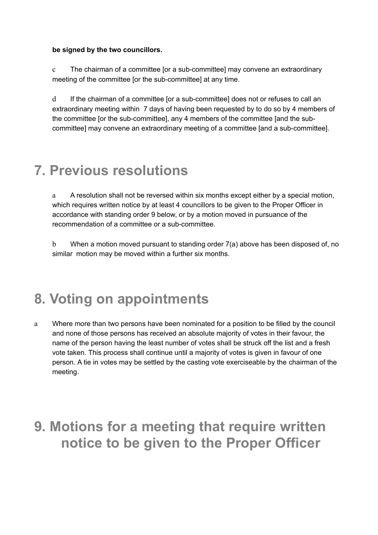#### **be signed by the two councillors.**

c The chairman of a committee [or a sub-committee] may convene an extraordinary meeting of the committee [or the sub-committee] at any time.

d If the chairman of a committee [or a sub-committee] does not or refuses to call an extraordinary meeting within 7 days of having been requested by to do so by 4 members of the committee [or the sub-committee], any 4 members of the committee [and the subcommittee] may convene an extraordinary meeting of a committee [and a sub-committee].

### **7. Previous resolutions**

a A resolution shall not be reversed within six months except either by a special motion, which requires written notice by at least 4 councillors to be given to the Proper Officer in accordance with standing order 9 below, or by a motion moved in pursuance of the recommendation of a committee or a sub-committee.

b When a motion moved pursuant to standing order 7(a) above has been disposed of, no similar motion may be moved within a further six months.

### **8. Voting on appointments**

a Where more than two persons have been nominated for a position to be filled by the council and none of those persons has received an absolute majority of votes in their favour, the name of the person having the least number of votes shall be struck off the list and a fresh vote taken. This process shall continue until a majority of votes is given in favour of one person. A tie in votes may be settled by the casting vote exerciseable by the chairman of the meeting.

### **9. Motions for a meeting that require written notice to be given to the Proper Officer**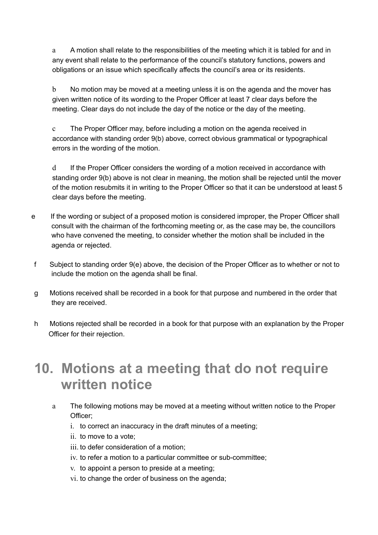a A motion shall relate to the responsibilities of the meeting which it is tabled for and in any event shall relate to the performance of the council's statutory functions, powers and obligations or an issue which specifically affects the council's area or its residents.

b No motion may be moved at a meeting unless it is on the agenda and the mover has given written notice of its wording to the Proper Officer at least 7 clear days before the meeting. Clear days do not include the day of the notice or the day of the meeting.

c The Proper Officer may, before including a motion on the agenda received in accordance with standing order 9(b) above, correct obvious grammatical or typographical errors in the wording of the motion.

d If the Proper Officer considers the wording of a motion received in accordance with standing order 9(b) above is not clear in meaning, the motion shall be rejected until the mover of the motion resubmits it in writing to the Proper Officer so that it can be understood at least 5 clear days before the meeting.

- e If the wording or subject of a proposed motion is considered improper, the Proper Officer shall consult with the chairman of the forthcoming meeting or, as the case may be, the councillors who have convened the meeting, to consider whether the motion shall be included in the agenda or rejected.
- f Subject to standing order 9(e) above, the decision of the Proper Officer as to whether or not to include the motion on the agenda shall be final.
- g Motions received shall be recorded in a book for that purpose and numbered in the order that they are received.
- h Motions rejected shall be recorded in a book for that purpose with an explanation by the Proper Officer for their rejection.

### **10. Motions at a meeting that do not require written notice**

- a The following motions may be moved at a meeting without written notice to the Proper Officer;
	- i. to correct an inaccuracy in the draft minutes of a meeting;
	- ii. to move to a vote;
	- iii. to defer consideration of a motion;
	- iv. to refer a motion to a particular committee or sub-committee;
	- v. to appoint a person to preside at a meeting;
	- vi. to change the order of business on the agenda;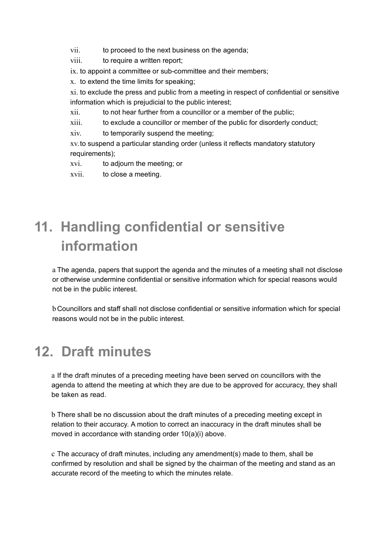vii. to proceed to the next business on the agenda;

viii. to require a written report;

ix. to appoint a committee or sub-committee and their members;

x. to extend the time limits for speaking;

xi. to exclude the press and public from a meeting in respect of confidential or sensitive information which is prejudicial to the public interest;

xii. to not hear further from a councillor or a member of the public;

xiii. to exclude a councillor or member of the public for disorderly conduct;

xiv. to temporarily suspend the meeting;

xv.to suspend a particular standing order (unless it reflects mandatory statutory requirements);

xvi. to adjourn the meeting; or

xvii. to close a meeting.

# **11. Handling confidential or sensitive information**

a The agenda, papers that support the agenda and the minutes of a meeting shall not disclose or otherwise undermine confidential or sensitive information which for special reasons would not be in the public interest.

b Councillors and staff shall not disclose confidential or sensitive information which for special reasons would not be in the public interest.

## **12. Draft minutes**

a If the draft minutes of a preceding meeting have been served on councillors with the agenda to attend the meeting at which they are due to be approved for accuracy, they shall be taken as read.

b There shall be no discussion about the draft minutes of a preceding meeting except in relation to their accuracy. A motion to correct an inaccuracy in the draft minutes shall be moved in accordance with standing order 10(a)(i) above.

c The accuracy of draft minutes, including any amendment(s) made to them, shall be confirmed by resolution and shall be signed by the chairman of the meeting and stand as an accurate record of the meeting to which the minutes relate.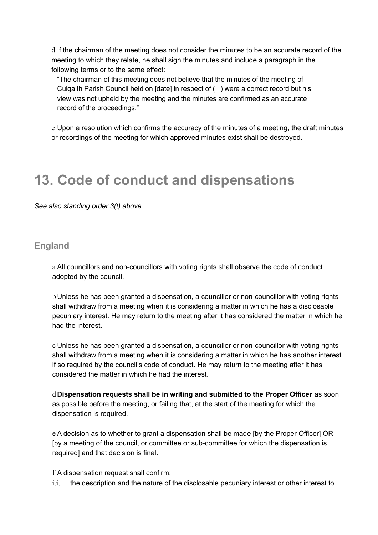d If the chairman of the meeting does not consider the minutes to be an accurate record of the meeting to which they relate, he shall sign the minutes and include a paragraph in the following terms or to the same effect:

 "The chairman of this meeting does not believe that the minutes of the meeting of Culgaith Parish Council held on [date] in respect of ( ) were a correct record but his view was not upheld by the meeting and the minutes are confirmed as an accurate record of the proceedings."

e Upon a resolution which confirms the accuracy of the minutes of a meeting, the draft minutes or recordings of the meeting for which approved minutes exist shall be destroyed.

### **13. Code of conduct and dispensations**

*See also standing order 3(t) above.* 

#### **England**

a All councillors and non-councillors with voting rights shall observe the code of conduct adopted by the council.

b Unless he has been granted a dispensation, a councillor or non-councillor with voting rights shall withdraw from a meeting when it is considering a matter in which he has a disclosable pecuniary interest. He may return to the meeting after it has considered the matter in which he had the interest.

c Unless he has been granted a dispensation, a councillor or non-councillor with voting rights shall withdraw from a meeting when it is considering a matter in which he has another interest if so required by the council's code of conduct. He may return to the meeting after it has considered the matter in which he had the interest.

d **Dispensation requests shall be in writing and submitted to the Proper Officer** as soon as possible before the meeting, or failing that, at the start of the meeting for which the dispensation is required.

e A decision as to whether to grant a dispensation shall be made [by the Proper Officer] OR [by a meeting of the council, or committee or sub-committee for which the dispensation is required] and that decision is final.

f A dispensation request shall confirm:

i.i. the description and the nature of the disclosable pecuniary interest or other interest to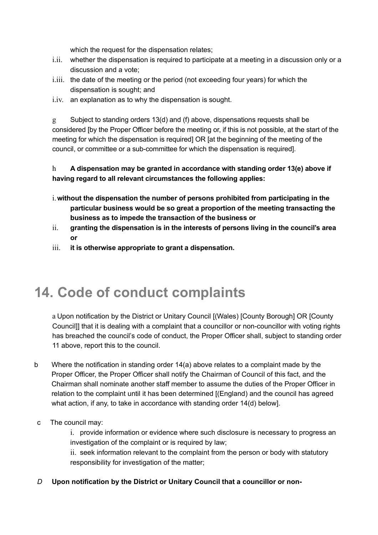which the request for the dispensation relates;

- i.ii. whether the dispensation is required to participate at a meeting in a discussion only or a discussion and a vote;
- i.iii. the date of the meeting or the period (not exceeding four years) for which the dispensation is sought; and
- i.iv. an explanation as to why the dispensation is sought.

g Subject to standing orders 13(d) and (f) above, dispensations requests shall be considered [by the Proper Officer before the meeting or, if this is not possible, at the start of the meeting for which the dispensation is required] OR [at the beginning of the meeting of the council, or committee or a sub-committee for which the dispensation is required].

#### h **A dispensation may be granted in accordance with standing order 13(e) above if having regard to all relevant circumstances the following applies:**

- i.**without the dispensation the number of persons prohibited from participating in the particular business would be so great a proportion of the meeting transacting the business as to impede the transaction of the business or**
- ii. **granting the dispensation is in the interests of persons living in the council's area or**
- iii. **it is otherwise appropriate to grant a dispensation.**

## **14. Code of conduct complaints**

a Upon notification by the District or Unitary Council [(Wales) [County Borough] OR [County Council]] that it is dealing with a complaint that a councillor or non-councillor with voting rights has breached the council's code of conduct, the Proper Officer shall, subject to standing order 11 above, report this to the council.

- b Where the notification in standing order 14(a) above relates to a complaint made by the Proper Officer, the Proper Officer shall notify the Chairman of Council of this fact, and the Chairman shall nominate another staff member to assume the duties of the Proper Officer in relation to the complaint until it has been determined [(England) and the council has agreed what action, if any, to take in accordance with standing order 14(d) below].
- c The council may:
	- i. provide information or evidence where such disclosure is necessary to progress an investigation of the complaint or is required by law;

ii. seek information relevant to the complaint from the person or body with statutory responsibility for investigation of the matter;

*D* **Upon notification by the District or Unitary Council that a councillor or non-**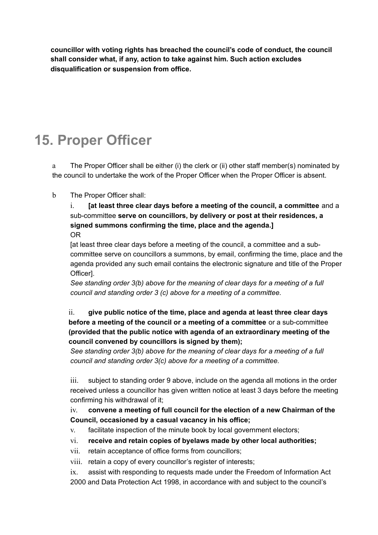**councillor with voting rights has breached the council's code of conduct, the council shall consider what, if any, action to take against him. Such action excludes disqualification or suspension from office.**

# **15. Proper Officer**

a The Proper Officer shall be either (i) the clerk or (ii) other staff member(s) nominated by the council to undertake the work of the Proper Officer when the Proper Officer is absent.

#### b The Proper Officer shall:

i. **[at least three clear days before a meeting of the council, a committee** and a sub-committee **serve on councillors, by delivery or post at their residences, a signed summons confirming the time, place and the agenda.]**  OR

[at least three clear days before a meeting of the council, a committee and a subcommittee serve on councillors a summons, by email, confirming the time, place and the agenda provided any such email contains the electronic signature and title of the Proper Officer].

*See standing order 3(b) above for the meaning of clear days for a meeting of a full council and standing order 3 (c) above for a meeting of a committee.*

#### ii. **give public notice of the time, place and agenda at least three clear days before a meeting of the council or a meeting of a committee** or a sub-committee **(provided that the public notice with agenda of an extraordinary meeting of the council convened by councillors is signed by them);**

*See standing order 3(b) above for the meaning of clear days for a meeting of a full council and standing order 3(c) above for a meeting of a committee.*

iii. subject to standing order 9 above, include on the agenda all motions in the order received unless a councillor has given written notice at least 3 days before the meeting confirming his withdrawal of it;

iv. **convene a meeting of full council for the election of a new Chairman of the Council, occasioned by a casual vacancy in his office;**

- v. facilitate inspection of the minute book by local government electors;
- vi. **receive and retain copies of byelaws made by other local authorities;**
- vii. retain acceptance of office forms from councillors;
- viii. retain a copy of every councillor's register of interests;

ix. assist with responding to requests made under the Freedom of Information Act 2000 and Data Protection Act 1998, in accordance with and subject to the council's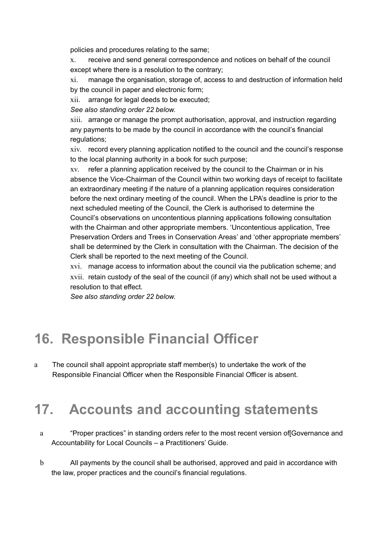policies and procedures relating to the same;

x. receive and send general correspondence and notices on behalf of the council except where there is a resolution to the contrary;

xi. manage the organisation, storage of, access to and destruction of information held by the council in paper and electronic form;

xii. arrange for legal deeds to be executed;

*See also standing order 22 below.*

xiii. arrange or manage the prompt authorisation, approval, and instruction regarding any payments to be made by the council in accordance with the council's financial regulations;

xiv. record every planning application notified to the council and the council's response to the local planning authority in a book for such purpose;

xv. refer a planning application received by the council to the Chairman or in his absence the Vice-Chairman of the Council within two working days of receipt to facilitate an extraordinary meeting if the nature of a planning application requires consideration before the next ordinary meeting of the council. When the LPA's deadline is prior to the next scheduled meeting of the Council, the Clerk is authorised to determine the Council's observations on uncontentious planning applications following consultation with the Chairman and other appropriate members. 'Uncontentious application, Tree Preservation Orders and Trees in Conservation Areas' and 'other appropriate members' shall be determined by the Clerk in consultation with the Chairman. The decision of the Clerk shall be reported to the next meeting of the Council.

xvi. manage access to information about the council via the publication scheme; and xvii. retain custody of the seal of the council (if any) which shall not be used without a resolution to that effect.

*See also standing order 22 below.*

## **16. Responsible Financial Officer**

a The council shall appoint appropriate staff member(s) to undertake the work of the Responsible Financial Officer when the Responsible Financial Officer is absent.

### **17. Accounts and accounting statements**

- a "Proper practices" in standing orders refer to the most recent version of[Governance and Accountability for Local Councils – a Practitioners' Guide.
- b All payments by the council shall be authorised, approved and paid in accordance with the law, proper practices and the council's financial regulations.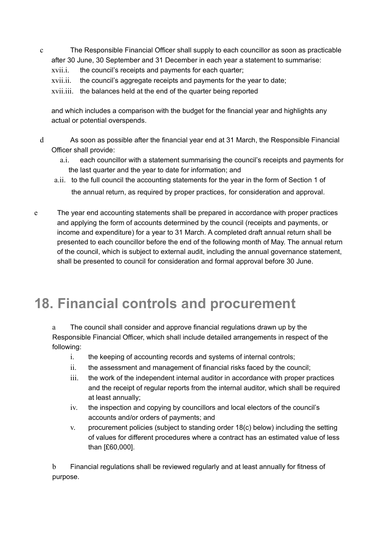c The Responsible Financial Officer shall supply to each councillor as soon as practicable after 30 June, 30 September and 31 December in each year a statement to summarise:

xvii.i. the council's receipts and payments for each quarter;

xvii.ii. the council's aggregate receipts and payments for the year to date;

xvii.iii. the balances held at the end of the quarter being reported

and which includes a comparison with the budget for the financial year and highlights any actual or potential overspends.

- d As soon as possible after the financial year end at 31 March, the Responsible Financial Officer shall provide:
	- a.i. each councillor with a statement summarising the council's receipts and payments for the last quarter and the year to date for information; and
	- a.ii. to the full council the accounting statements for the year in the form of Section 1 of the annual return, as required by proper practices, for consideration and approval.
- e The year end accounting statements shall be prepared in accordance with proper practices and applying the form of accounts determined by the council (receipts and payments, or income and expenditure) for a year to 31 March. A completed draft annual return shall be presented to each councillor before the end of the following month of May. The annual return of the council, which is subject to external audit, including the annual governance statement, shall be presented to council for consideration and formal approval before 30 June.

## **18. Financial controls and procurement**

a The council shall consider and approve financial regulations drawn up by the Responsible Financial Officer, which shall include detailed arrangements in respect of the following:

- i. the keeping of accounting records and systems of internal controls;
- ii. the assessment and management of financial risks faced by the council;
- iii. the work of the independent internal auditor in accordance with proper practices and the receipt of regular reports from the internal auditor, which shall be required at least annually;
- iv. the inspection and copying by councillors and local electors of the council's accounts and/or orders of payments; and
- v. procurement policies (subject to standing order 18(c) below) including the setting of values for different procedures where a contract has an estimated value of less than [£60,000].

b Financial regulations shall be reviewed regularly and at least annually for fitness of purpose.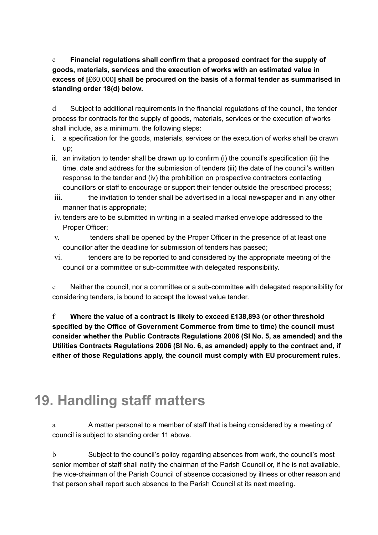c **Financial regulations shall confirm that a proposed contract for the supply of goods, materials, services and the execution of works with an estimated value in excess of [**£60,000**] shall be procured on the basis of a formal tender as summarised in standing order 18(d) below.**

d Subject to additional requirements in the financial regulations of the council, the tender process for contracts for the supply of goods, materials, services or the execution of works shall include, as a minimum, the following steps:

- i. a specification for the goods, materials, services or the execution of works shall be drawn up;
- ii. an invitation to tender shall be drawn up to confirm (i) the council's specification (ii) the time, date and address for the submission of tenders (iii) the date of the council's written response to the tender and (iv) the prohibition on prospective contractors contacting councillors or staff to encourage or support their tender outside the prescribed process;
- iii. the invitation to tender shall be advertised in a local newspaper and in any other manner that is appropriate;
- iv. tenders are to be submitted in writing in a sealed marked envelope addressed to the Proper Officer;
- v. tenders shall be opened by the Proper Officer in the presence of at least one councillor after the deadline for submission of tenders has passed;
- vi. tenders are to be reported to and considered by the appropriate meeting of the council or a committee or sub-committee with delegated responsibility.

e Neither the council, nor a committee or a sub-committee with delegated responsibility for considering tenders, is bound to accept the lowest value tender.

f **Where the value of a contract is likely to exceed £138,893 (or other threshold specified by the Office of Government Commerce from time to time) the council must consider whether the Public Contracts Regulations 2006 (SI No. 5, as amended) and the Utilities Contracts Regulations 2006 (SI No. 6, as amended) apply to the contract and, if either of those Regulations apply, the council must comply with EU procurement rules.**

# **19. Handling staff matters**

a A matter personal to a member of staff that is being considered by a meeting of council is subject to standing order 11 above.

b Subject to the council's policy regarding absences from work, the council's most senior member of staff shall notify the chairman of the Parish Council or, if he is not available, the vice-chairman of the Parish Council of absence occasioned by illness or other reason and that person shall report such absence to the Parish Council at its next meeting.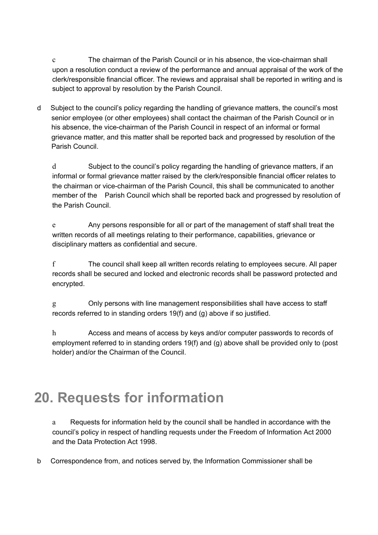c The chairman of the Parish Council or in his absence, the vice-chairman shall upon a resolution conduct a review of the performance and annual appraisal of the work of the clerk/responsible financial officer. The reviews and appraisal shall be reported in writing and is subject to approval by resolution by the Parish Council.

d Subject to the council's policy regarding the handling of grievance matters, the council's most senior employee (or other employees) shall contact the chairman of the Parish Council or in his absence, the vice-chairman of the Parish Council in respect of an informal or formal grievance matter, and this matter shall be reported back and progressed by resolution of the Parish Council.

d Subject to the council's policy regarding the handling of grievance matters, if an informal or formal grievance matter raised by the clerk/responsible financial officer relates to the chairman or vice-chairman of the Parish Council, this shall be communicated to another member of the Parish Council which shall be reported back and progressed by resolution of the Parish Council.

e Any persons responsible for all or part of the management of staff shall treat the written records of all meetings relating to their performance, capabilities, grievance or disciplinary matters as confidential and secure.

f The council shall keep all written records relating to employees secure. All paper records shall be secured and locked and electronic records shall be password protected and encrypted.

g Only persons with line management responsibilities shall have access to staff records referred to in standing orders 19(f) and (g) above if so justified.

h Access and means of access by keys and/or computer passwords to records of employment referred to in standing orders 19(f) and (g) above shall be provided only to (post holder) and/or the Chairman of the Council.

# **20. Requests for information**

a Requests for information held by the council shall be handled in accordance with the council's policy in respect of handling requests under the Freedom of Information Act 2000 and the Data Protection Act 1998.

b Correspondence from, and notices served by, the Information Commissioner shall be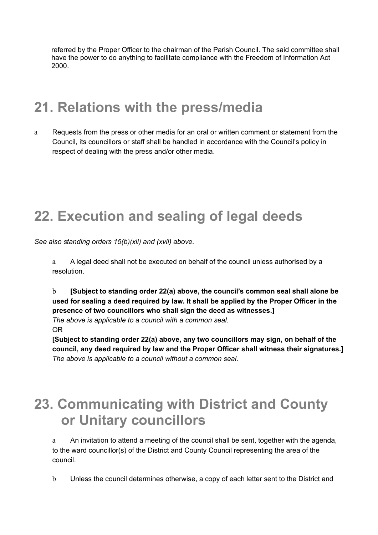referred by the Proper Officer to the chairman of the Parish Council. The said committee shall have the power to do anything to facilitate compliance with the Freedom of Information Act 2000.

### **21. Relations with the press/media**

a Requests from the press or other media for an oral or written comment or statement from the Council, its councillors or staff shall be handled in accordance with the Council's policy in respect of dealing with the press and/or other media.

## **22. Execution and sealing of legal deeds**

*See also standing orders 15(b)(xii) and (xvii) above.*

a A legal deed shall not be executed on behalf of the council unless authorised by a resolution.

b **[Subject to standing order 22(a) above, the council's common seal shall alone be used for sealing a deed required by law. It shall be applied by the Proper Officer in the presence of two councillors who shall sign the deed as witnesses.]**

*The above is applicable to a council with a common seal.* OR

**[Subject to standing order 22(a) above, any two councillors may sign, on behalf of the council, any deed required by law and the Proper Officer shall witness their signatures.]** *The above is applicable to a council without a common seal.*

## **23. Communicating with District and County or Unitary councillors**

a An invitation to attend a meeting of the council shall be sent, together with the agenda, to the ward councillor(s) of the District and County Council representing the area of the council.

b Unless the council determines otherwise, a copy of each letter sent to the District and